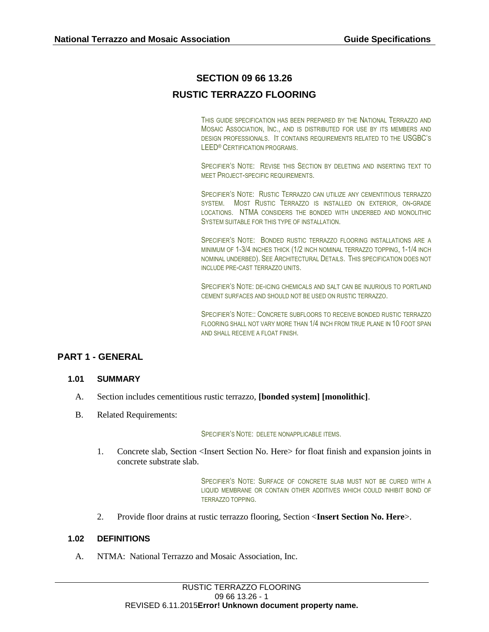# **SECTION 09 66 13.26 RUSTIC TERRAZZO FLOORING**

THIS GUIDE SPECIFICATION HAS BEEN PREPARED BY THE NATIONAL TERRAZZO AND MOSAIC ASSOCIATION, INC., AND IS DISTRIBUTED FOR USE BY ITS MEMBERS AND DESIGN PROFESSIONALS. IT CONTAINS REQUIREMENTS RELATED TO THE USGBC'S LEED® CERTIFICATION PROGRAMS.

SPECIFIER'S NOTE: REVISE THIS SECTION BY DELETING AND INSERTING TEXT TO MEET PROJECT-SPECIFIC REQUIREMENTS.

SPECIFIER'S NOTE: RUSTIC TERRAZZO CAN UTILIZE ANY CEMENTITIOUS TERRAZZO SYSTEM. MOST RUSTIC TERRAZZO IS INSTALLED ON EXTERIOR, ON-GRADE LOCATIONS. NTMA CONSIDERS THE BONDED WITH UNDERBED AND MONOLITHIC SYSTEM SUITABLE FOR THIS TYPE OF INSTALLATION.

SPECIFIER'S NOTE: BONDED RUSTIC TERRAZZO FLOORING INSTALLATIONS ARE A MINIMUM OF 1-3/4 INCHES THICK (1/2 INCH NOMINAL TERRAZZO TOPPING, 1-1/4 INCH NOMINAL UNDERBED). SEE ARCHITECTURAL DETAILS. THIS SPECIFICATION DOES NOT INCLUDE PRE-CAST TERRAZZO UNITS.

SPECIFIER'S NOTE: DE-ICING CHEMICALS AND SALT CAN BE INJURIOUS TO PORTLAND CEMENT SURFACES AND SHOULD NOT BE USED ON RUSTIC TERRAZZO.

SPECIFIER'S NOTE:: CONCRETE SUBFLOORS TO RECEIVE BONDED RUSTIC TERRAZZO FLOORING SHALL NOT VARY MORE THAN 1/4 INCH FROM TRUE PLANE IN 10 FOOT SPAN AND SHALL RECEIVE A FLOAT FINISH.

# **PART 1 - GENERAL**

# **1.01 SUMMARY**

- A. Section includes cementitious rustic terrazzo, **[bonded system] [monolithic]**.
- B. Related Requirements:

#### SPECIFIER'S NOTE: DELETE NONAPPLICABLE ITEMS.

1. Concrete slab, Section <Insert Section No. Here> for float finish and expansion joints in concrete substrate slab.

> SPECIFIER'S NOTE: SURFACE OF CONCRETE SLAB MUST NOT BE CURED WITH A LIQUID MEMBRANE OR CONTAIN OTHER ADDITIVES WHICH COULD INHIBIT BOND OF TERRAZZO TOPPING.

2. Provide floor drains at rustic terrazzo flooring, Section <**Insert Section No. Here**>.

## **1.02 DEFINITIONS**

A. NTMA: National Terrazzo and Mosaic Association, Inc.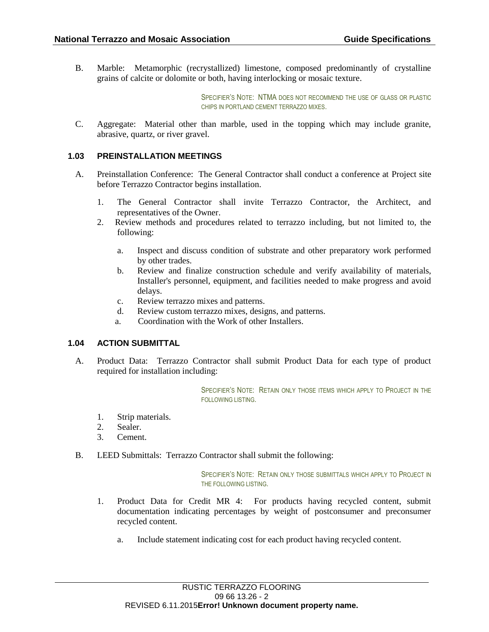B. Marble: Metamorphic (recrystallized) limestone, composed predominantly of crystalline grains of calcite or dolomite or both, having interlocking or mosaic texture.

> SPECIFIER'S NOTE: NTMA DOES NOT RECOMMEND THE USE OF GLASS OR PLASTIC CHIPS IN PORTLAND CEMENT TERRAZZO MIXES.

C. Aggregate: Material other than marble, used in the topping which may include granite, abrasive, quartz, or river gravel.

## **1.03 PREINSTALLATION MEETINGS**

- A. Preinstallation Conference: The General Contractor shall conduct a conference at Project site before Terrazzo Contractor begins installation.
	- 1. The General Contractor shall invite Terrazzo Contractor, the Architect, and representatives of the Owner.
	- 2. Review methods and procedures related to terrazzo including, but not limited to, the following:
		- a. Inspect and discuss condition of substrate and other preparatory work performed by other trades.
		- b. Review and finalize construction schedule and verify availability of materials, Installer's personnel, equipment, and facilities needed to make progress and avoid delays.
		- c. Review terrazzo mixes and patterns.
		- d. Review custom terrazzo mixes, designs, and patterns.
		- a. Coordination with the Work of other Installers.

# **1.04 ACTION SUBMITTAL**

A. Product Data: Terrazzo Contractor shall submit Product Data for each type of product required for installation including:

> SPECIFIER'S NOTE: RETAIN ONLY THOSE ITEMS WHICH APPLY TO PROJECT IN THE FOLLOWING LISTING.

- 1. Strip materials.
- 2. Sealer.
- 3. Cement.
- B. LEED Submittals: Terrazzo Contractor shall submit the following:

SPECIFIER'S NOTE: RETAIN ONLY THOSE SUBMITTALS WHICH APPLY TO PROJECT IN THE FOLLOWING LISTING.

- 1. Product Data for Credit MR 4: For products having recycled content, submit documentation indicating percentages by weight of postconsumer and preconsumer recycled content.
	- a. Include statement indicating cost for each product having recycled content.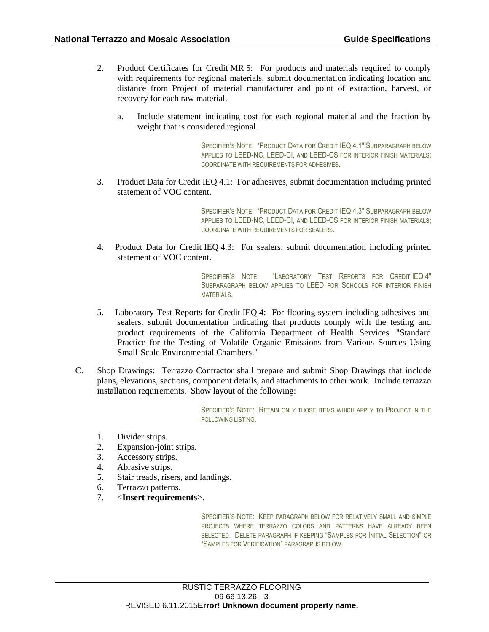- 2. Product Certificates for Credit MR 5: For products and materials required to comply with requirements for regional materials, submit documentation indicating location and distance from Project of material manufacturer and point of extraction, harvest, or recovery for each raw material.
	- a. Include statement indicating cost for each regional material and the fraction by weight that is considered regional.

SPECIFIER'S NOTE: "PRODUCT DATA FOR CREDIT IEQ 4.1" SUBPARAGRAPH BELOW APPLIES TO LEED-NC, LEED-CI, AND LEED-CS FOR INTERIOR FINISH MATERIALS; COORDINATE WITH REQUIREMENTS FOR ADHESIVES.

3. Product Data for Credit IEQ 4.1: For adhesives, submit documentation including printed statement of VOC content.

> SPECIFIER'S NOTE: "PRODUCT DATA FOR CREDIT IEQ 4.3" SUBPARAGRAPH BELOW APPLIES TO LEED-NC, LEED-CI, AND LEED-CS FOR INTERIOR FINISH MATERIALS; COORDINATE WITH REQUIREMENTS FOR SEALERS.

4. Product Data for Credit IEQ 4.3: For sealers, submit documentation including printed statement of VOC content.

> SPECIFIER'S NOTE: "LABORATORY TEST REPORTS FOR CREDIT IEQ 4" SUBPARAGRAPH BELOW APPLIES TO LEED FOR SCHOOLS FOR INTERIOR FINISH MATERIALS.

- 5. Laboratory Test Reports for Credit IEQ 4: For flooring system including adhesives and sealers, submit documentation indicating that products comply with the testing and product requirements of the California Department of Health Services' "Standard Practice for the Testing of Volatile Organic Emissions from Various Sources Using Small-Scale Environmental Chambers."
- C. Shop Drawings: Terrazzo Contractor shall prepare and submit Shop Drawings that include plans, elevations, sections, component details, and attachments to other work. Include terrazzo installation requirements. Show layout of the following:

SPECIFIER'S NOTE: RETAIN ONLY THOSE ITEMS WHICH APPLY TO PROJECT IN THE FOLLOWING LISTING.

- 1. Divider strips.
- 2. Expansion-joint strips.
- 3. Accessory strips.
- 4. Abrasive strips.
- 5. Stair treads, risers, and landings.
- 6. Terrazzo patterns.
- 7. <**Insert requirements**>.

SPECIFIER'S NOTE: KEEP PARAGRAPH BELOW FOR RELATIVELY SMALL AND SIMPLE PROJECTS WHERE TERRAZZO COLORS AND PATTERNS HAVE ALREADY BEEN SELECTED. DELETE PARAGRAPH IF KEEPING "SAMPLES FOR INITIAL SELECTION" OR "SAMPLES FOR VERIFICATION" PARAGRAPHS BELOW.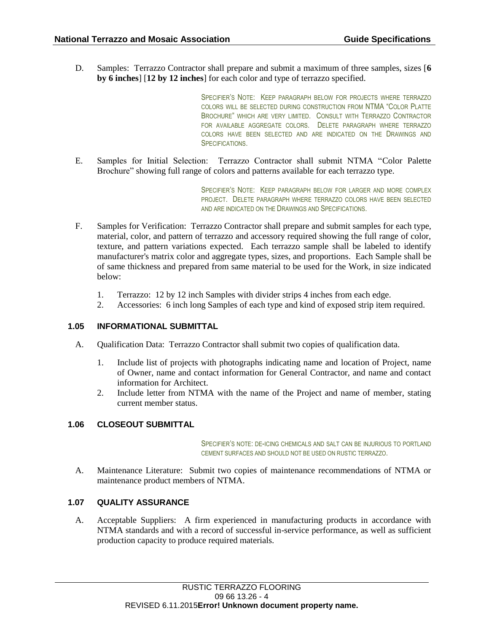D. Samples: Terrazzo Contractor shall prepare and submit a maximum of three samples, sizes [**6 by 6 inches**] [**12 by 12 inches**] for each color and type of terrazzo specified.

> SPECIFIER'S NOTE: KEEP PARAGRAPH BELOW FOR PROJECTS WHERE TERRAZZO COLORS WILL BE SELECTED DURING CONSTRUCTION FROM NTMA "COLOR PLATTE BROCHURE" WHICH ARE VERY LIMITED. CONSULT WITH TERRAZZO CONTRACTOR FOR AVAILABLE AGGREGATE COLORS. DELETE PARAGRAPH WHERE TERRAZZO COLORS HAVE BEEN SELECTED AND ARE INDICATED ON THE DRAWINGS AND SPECIFICATIONS.

E. Samples for Initial Selection: Terrazzo Contractor shall submit NTMA "Color Palette Brochure" showing full range of colors and patterns available for each terrazzo type.

> SPECIFIER'S NOTE: KEEP PARAGRAPH BELOW FOR LARGER AND MORE COMPLEX PROJECT. DELETE PARAGRAPH WHERE TERRAZZO COLORS HAVE BEEN SELECTED AND ARE INDICATED ON THE DRAWINGS AND SPECIFICATIONS.

- F. Samples for Verification: Terrazzo Contractor shall prepare and submit samples for each type, material, color, and pattern of terrazzo and accessory required showing the full range of color, texture, and pattern variations expected. Each terrazzo sample shall be labeled to identify manufacturer's matrix color and aggregate types, sizes, and proportions. Each Sample shall be of same thickness and prepared from same material to be used for the Work, in size indicated below:
	- 1. Terrazzo: 12 by 12 inch Samples with divider strips 4 inches from each edge.
	- 2. Accessories: 6 inch long Samples of each type and kind of exposed strip item required.

# **1.05 INFORMATIONAL SUBMITTAL**

- A. Qualification Data: Terrazzo Contractor shall submit two copies of qualification data.
	- 1. Include list of projects with photographs indicating name and location of Project, name of Owner, name and contact information for General Contractor, and name and contact information for Architect.
	- 2. Include letter from NTMA with the name of the Project and name of member, stating current member status.

# **1.06 CLOSEOUT SUBMITTAL**

SPECIFIER'S NOTE: DE-ICING CHEMICALS AND SALT CAN BE INJURIOUS TO PORTLAND CEMENT SURFACES AND SHOULD NOT BE USED ON RUSTIC TERRAZZO.

A. Maintenance Literature: Submit two copies of maintenance recommendations of NTMA or maintenance product members of NTMA.

# **1.07 QUALITY ASSURANCE**

A. Acceptable Suppliers: A firm experienced in manufacturing products in accordance with NTMA standards and with a record of successful in-service performance, as well as sufficient production capacity to produce required materials.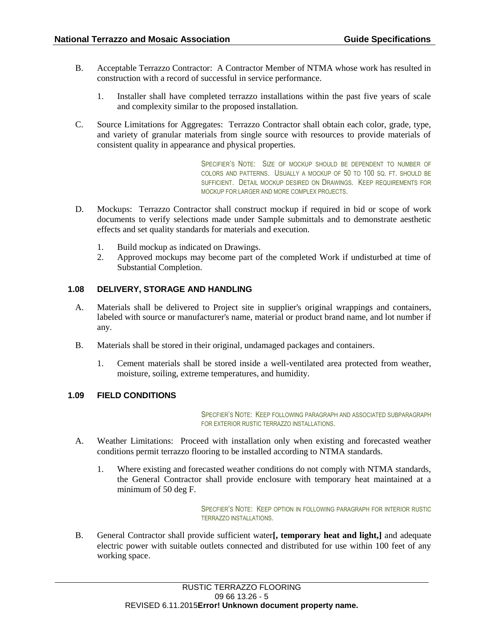- B. Acceptable Terrazzo Contractor: A Contractor Member of NTMA whose work has resulted in construction with a record of successful in service performance.
	- 1. Installer shall have completed terrazzo installations within the past five years of scale and complexity similar to the proposed installation.
- C. Source Limitations for Aggregates: Terrazzo Contractor shall obtain each color, grade, type, and variety of granular materials from single source with resources to provide materials of consistent quality in appearance and physical properties.

SPECIFIER'S NOTE: SIZE OF MOCKUP SHOULD BE DEPENDENT TO NUMBER OF COLORS AND PATTERNS. USUALLY A MOCKUP OF 50 TO 100 SQ. FT. SHOULD BE SUFFICIENT. DETAIL MOCKUP DESIRED ON DRAWINGS. KEEP REQUIREMENTS FOR MOCKUP FOR LARGER AND MORE COMPLEX PROJECTS.

- D. Mockups: Terrazzo Contractor shall construct mockup if required in bid or scope of work documents to verify selections made under Sample submittals and to demonstrate aesthetic effects and set quality standards for materials and execution.
	- 1. Build mockup as indicated on Drawings.
	- 2. Approved mockups may become part of the completed Work if undisturbed at time of Substantial Completion.

# **1.08 DELIVERY, STORAGE AND HANDLING**

- A. Materials shall be delivered to Project site in supplier's original wrappings and containers, labeled with source or manufacturer's name, material or product brand name, and lot number if any.
- B. Materials shall be stored in their original, undamaged packages and containers.
	- 1. Cement materials shall be stored inside a well-ventilated area protected from weather, moisture, soiling, extreme temperatures, and humidity.

# **1.09 FIELD CONDITIONS**

SPECFIER'S NOTE: KEEP FOLLOWING PARAGRAPH AND ASSOCIATED SUBPARAGRAPH FOR EXTERIOR RUSTIC TERRAZZO INSTALLATIONS.

- A. Weather Limitations: Proceed with installation only when existing and forecasted weather conditions permit terrazzo flooring to be installed according to NTMA standards.
	- 1. Where existing and forecasted weather conditions do not comply with NTMA standards, the General Contractor shall provide enclosure with temporary heat maintained at a minimum of 50 deg F.

SPECFIER'S NOTE: KEEP OPTION IN FOLLOWING PARAGRAPH FOR INTERIOR RUSTIC TERRAZZO INSTALLATIONS.

B. General Contractor shall provide sufficient water**[, temporary heat and light,]** and adequate electric power with suitable outlets connected and distributed for use within 100 feet of any working space.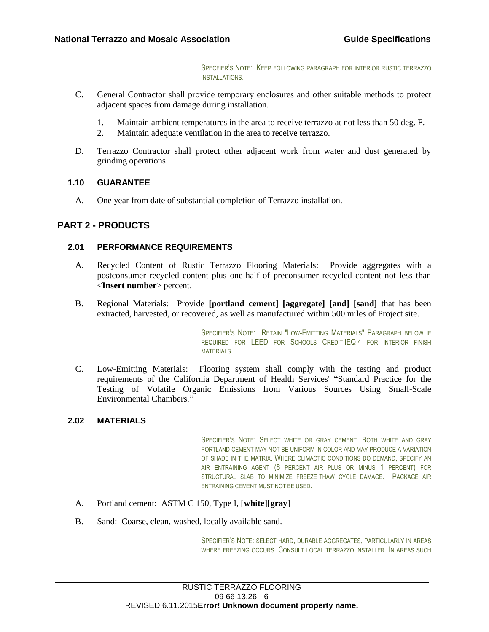SPECFIER'S NOTE: KEEP FOLLOWING PARAGRAPH FOR INTERIOR RUSTIC TERRAZZO INSTALLATIONS.

- C. General Contractor shall provide temporary enclosures and other suitable methods to protect adjacent spaces from damage during installation.
	- 1. Maintain ambient temperatures in the area to receive terrazzo at not less than 50 deg. F.
	- 2. Maintain adequate ventilation in the area to receive terrazzo.
- D. Terrazzo Contractor shall protect other adjacent work from water and dust generated by grinding operations.

## **1.10 GUARANTEE**

A. One year from date of substantial completion of Terrazzo installation.

# **PART 2 - PRODUCTS**

# **2.01 PERFORMANCE REQUIREMENTS**

- A. Recycled Content of Rustic Terrazzo Flooring Materials: Provide aggregates with a postconsumer recycled content plus one-half of preconsumer recycled content not less than <**Insert number**> percent.
- B. Regional Materials: Provide **[portland cement] [aggregate] [and] [sand]** that has been extracted, harvested, or recovered, as well as manufactured within 500 miles of Project site.

SPECIFIER'S NOTE: RETAIN "LOW-EMITTING MATERIALS" PARAGRAPH BELOW IF REQUIRED FOR LEED FOR SCHOOLS CREDIT IEQ 4 FOR INTERIOR FINISH MATERIALS.

C. Low-Emitting Materials: Flooring system shall comply with the testing and product requirements of the California Department of Health Services' "Standard Practice for the Testing of Volatile Organic Emissions from Various Sources Using Small-Scale Environmental Chambers."

## **2.02 MATERIALS**

SPECIFIER'S NOTE: SELECT WHITE OR GRAY CEMENT. BOTH WHITE AND GRAY PORTLAND CEMENT MAY NOT BE UNIFORM IN COLOR AND MAY PRODUCE A VARIATION OF SHADE IN THE MATRIX. WHERE CLIMACTIC CONDITIONS DO DEMAND, SPECIFY AN AIR ENTRAINING AGENT (6 PERCENT AIR PLUS OR MINUS 1 PERCENT) FOR STRUCTURAL SLAB TO MINIMIZE FREEZE-THAW CYCLE DAMAGE. PACKAGE AIR ENTRAINING CEMENT MUST NOT BE USED.

- A. Portland cement: ASTM C 150, Type I, [**white**][**gray**]
- B. Sand: Coarse, clean, washed, locally available sand.

SPECIFIER'S NOTE: SELECT HARD, DURABLE AGGREGATES, PARTICULARLY IN AREAS WHERE FREEZING OCCURS. CONSULT LOCAL TERRAZZO INSTALLER. IN AREAS SUCH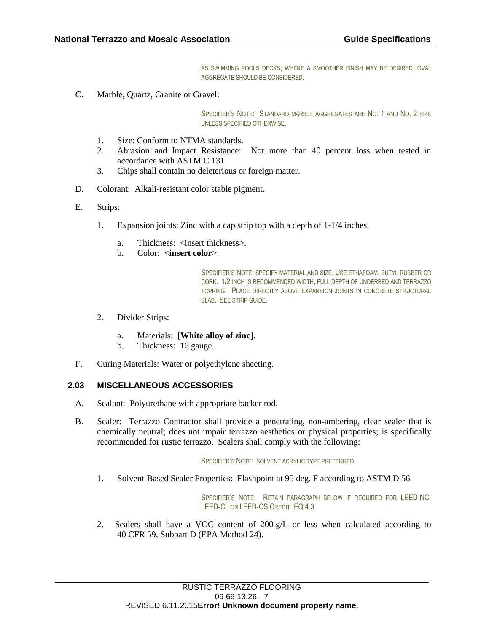AS SWIMMING POOLS DECKS, WHERE A SMOOTHER FINISH MAY BE DESIRED, OVAL AGGREGATE SHOULD BE CONSIDERED.

C. Marble, Quartz, Granite or Gravel:

SPECIFIER'S NOTE: STANDARD MARBLE AGGREGATES ARE NO. 1 AND NO. 2 SIZE UNLESS SPECIFIED OTHERWISE.

- 1. Size: Conform to NTMA standards.
- 2. Abrasion and Impact Resistance: Not more than 40 percent loss when tested in accordance with ASTM C 131
- 3. Chips shall contain no deleterious or foreign matter.
- D. Colorant: Alkali-resistant color stable pigment.
- E. Strips:
	- 1. Expansion joints: Zinc with a cap strip top with a depth of 1-1/4 inches.
		- a. Thickness:  $\langle$  insert thickness>.
		- b. Color: <**insert color**>.

SPECIFIER'S NOTE: SPECIFY MATERIAL AND SIZE. USE ETHAFOAM, BUTYL RUBBER OR CORK. 1/2 INCH IS RECOMMENDED WIDTH, FULL DEPTH OF UNDERBED AND TERRAZZO TOPPING. PLACE DIRECTLY ABOVE EXPANSION JOINTS IN CONCRETE STRUCTURAL SLAB. SEE STRIP GUIDE.

- 2. Divider Strips:
	- a. Materials: [**White alloy of zinc**].
	- b. Thickness: 16 gauge.
- F. Curing Materials: Water or polyethylene sheeting.

#### **2.03 MISCELLANEOUS ACCESSORIES**

- A. Sealant: Polyurethane with appropriate backer rod.
- B. Sealer: Terrazzo Contractor shall provide a penetrating, non-ambering, clear sealer that is chemically neutral; does not impair terrazzo aesthetics or physical properties; is specifically recommended for rustic terrazzo. Sealers shall comply with the following:

SPECIFIER'S NOTE: SOLVENT ACRYLIC TYPE PREFERRED.

1. Solvent-Based Sealer Properties: Flashpoint at 95 deg. F according to ASTM D 56.

SPECIFIER'S NOTE: RETAIN PARAGRAPH BELOW IF REQUIRED FOR LEED-NC, LEED-CI, OR LEED-CS CREDIT IEQ 4.3.

2. Sealers shall have a VOC content of  $200 \text{ g/L}$  or less when calculated according to 40 CFR 59, Subpart D (EPA Method 24).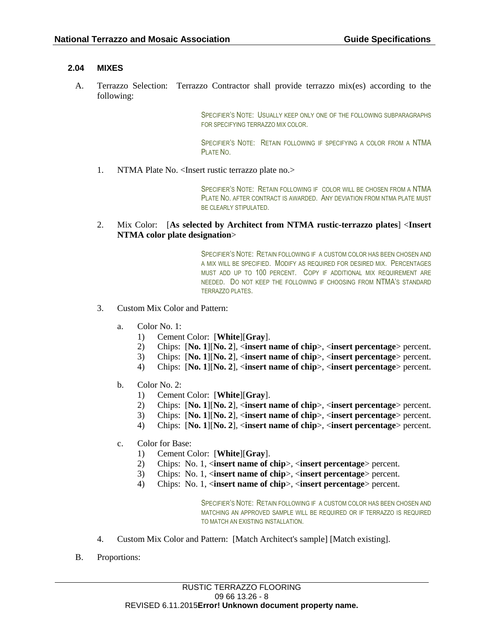# **2.04 MIXES**

A. Terrazzo Selection: Terrazzo Contractor shall provide terrazzo mix(es) according to the following:

> SPECIFIER'S NOTE: USUALLY KEEP ONLY ONE OF THE FOLLOWING SUBPARAGRAPHS FOR SPECIFYING TERRAZZO MIX COLOR.

> SPECIFIER'S NOTE: RETAIN FOLLOWING IF SPECIFYING A COLOR FROM A NTMA PLATE NO.

1. NTMA Plate No. <Insert rustic terrazzo plate no.>

SPECIFIER'S NOTE: RETAIN FOLLOWING IF COLOR WILL BE CHOSEN FROM A NTMA PLATE NO. AFTER CONTRACT IS AWARDED. ANY DEVIATION FROM NTMA PLATE MUST BE CLEARLY STIPULATED.

# 2. Mix Color: [**As selected by Architect from NTMA rustic-terrazzo plates**] <**Insert NTMA color plate designation**>

SPECIFIER'S NOTE: RETAIN FOLLOWING IF A CUSTOM COLOR HAS BEEN CHOSEN AND A MIX WILL BE SPECIFIED. MODIFY AS REQUIRED FOR DESIRED MIX. PERCENTAGES MUST ADD UP TO 100 PERCENT. COPY IF ADDITIONAL MIX REQUIREMENT ARE NEEDED. DO NOT KEEP THE FOLLOWING IF CHOOSING FROM NTMA'S STANDARD TERRAZZO PLATES.

- 3. Custom Mix Color and Pattern:
	- a. Color No.  $1$ .
		- 1) Cement Color: [**White**][**Gray**].
		- 2) Chips: [**No. 1**][**No. 2**], <**insert name of chip**>, <**insert percentage**> percent.
		- 3) Chips: [**No. 1**][**No. 2**], <**insert name of chip**>, <**insert percentage**> percent.
		- 4) Chips: [**No. 1**][**No. 2**], <**insert name of chip**>, <**insert percentage**> percent.
	- b. Color No. 2:
		- 1) Cement Color: [**White**][**Gray**].
		- 2) Chips: [**No. 1**][**No. 2**], <**insert name of chip**>, <**insert percentage**> percent.
		- 3) Chips: [**No. 1**][**No. 2**], <**insert name of chip**>, <**insert percentage**> percent.
		- 4) Chips: [**No. 1**][**No. 2**], <**insert name of chip**>, <**insert percentage**> percent.
	- c. Color for Base:
		- 1) Cement Color: [**White**][**Gray**].
		- 2) Chips: No. 1, <**insert name of chip**>, <**insert percentage**> percent.
		- 3) Chips: No. 1, <**insert name of chip**>, <**insert percentage**> percent.
		- 4) Chips: No. 1, <**insert name of chip**>, <**insert percentage**> percent.

SPECIFIER'S NOTE: RETAIN FOLLOWING IF A CUSTOM COLOR HAS BEEN CHOSEN AND MATCHING AN APPROVED SAMPLE WILL BE REQUIRED OR IF TERRAZZO IS REQUIRED TO MATCH AN EXISTING INSTALLATION.

- 4. Custom Mix Color and Pattern: [Match Architect's sample] [Match existing].
- B. Proportions: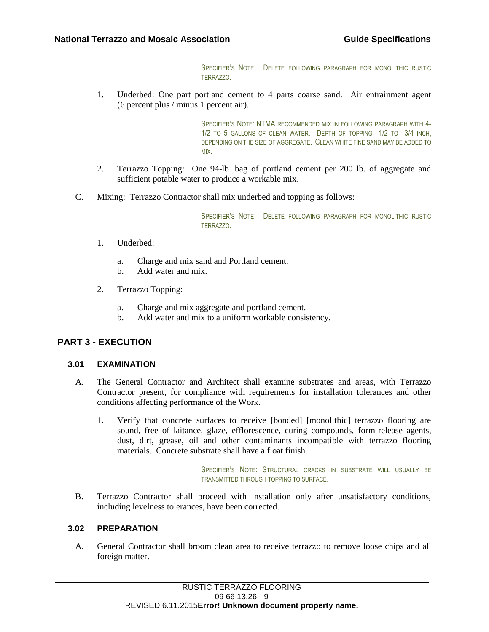SPECIFIER'S NOTE: DELETE FOLLOWING PARAGRAPH FOR MONOLITHIC RUSTIC TERRAZZO.

1. Underbed: One part portland cement to 4 parts coarse sand. Air entrainment agent (6 percent plus / minus 1 percent air).

> SPECIFIER'S NOTE: NTMA RECOMMENDED MIX IN FOLLOWING PARAGRAPH WITH 4- 1/2 TO 5 GALLONS OF CLEAN WATER. DEPTH OF TOPPING 1/2 TO 3/4 INCH, DEPENDING ON THE SIZE OF AGGREGATE. CLEAN WHITE FINE SAND MAY BE ADDED TO MIX.

- 2. Terrazzo Topping: One 94-lb. bag of portland cement per 200 lb. of aggregate and sufficient potable water to produce a workable mix.
- C. Mixing: Terrazzo Contractor shall mix underbed and topping as follows:

SPECIFIER'S NOTE: DELETE FOLLOWING PARAGRAPH FOR MONOLITHIC RUSTIC TERRAZZO.

- 1. Underbed:
	- a. Charge and mix sand and Portland cement.
	- b. Add water and mix.
- 2. Terrazzo Topping:
	- a. Charge and mix aggregate and portland cement.
	- b. Add water and mix to a uniform workable consistency.

# **PART 3 - EXECUTION**

# **3.01 EXAMINATION**

- A. The General Contractor and Architect shall examine substrates and areas, with Terrazzo Contractor present, for compliance with requirements for installation tolerances and other conditions affecting performance of the Work.
	- 1. Verify that concrete surfaces to receive [bonded] [monolithic] terrazzo flooring are sound, free of laitance, glaze, efflorescence, curing compounds, form-release agents, dust, dirt, grease, oil and other contaminants incompatible with terrazzo flooring materials. Concrete substrate shall have a float finish.

SPECIFIER'S NOTE: STRUCTURAL CRACKS IN SUBSTRATE WILL USUALLY BE TRANSMITTED THROUGH TOPPING TO SURFACE.

B. Terrazzo Contractor shall proceed with installation only after unsatisfactory conditions, including levelness tolerances, have been corrected.

# **3.02 PREPARATION**

A. General Contractor shall broom clean area to receive terrazzo to remove loose chips and all foreign matter.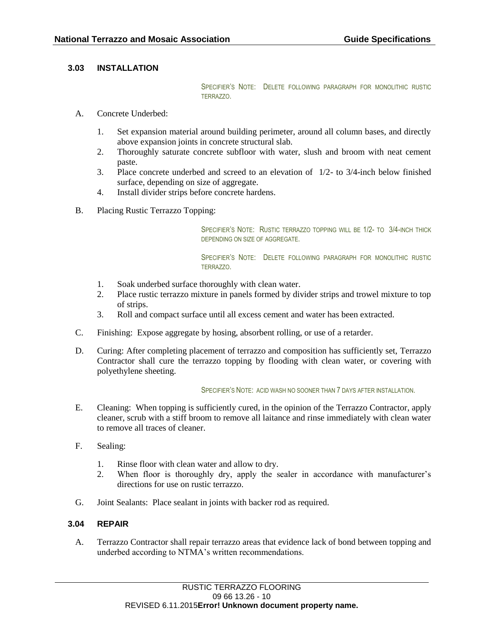# **3.03 INSTALLATION**

SPECIFIER'S NOTE: DELETE FOLLOWING PARAGRAPH FOR MONOLITHIC RUSTIC TERRAZZO.

- A. Concrete Underbed:
	- 1. Set expansion material around building perimeter, around all column bases, and directly above expansion joints in concrete structural slab.
	- 2. Thoroughly saturate concrete subfloor with water, slush and broom with neat cement paste.
	- 3. Place concrete underbed and screed to an elevation of 1/2- to 3/4-inch below finished surface, depending on size of aggregate.
	- 4. Install divider strips before concrete hardens.
- B. Placing Rustic Terrazzo Topping:

SPECIFIER'S NOTE: RUSTIC TERRAZZO TOPPING WILL BE 1/2- TO 3/4-INCH THICK DEPENDING ON SIZE OF AGGREGATE.

SPECIFIER'S NOTE: DELETE FOLLOWING PARAGRAPH FOR MONOLITHIC RUSTIC TERRAZZO.

- 1. Soak underbed surface thoroughly with clean water.
- 2. Place rustic terrazzo mixture in panels formed by divider strips and trowel mixture to top of strips.
- 3. Roll and compact surface until all excess cement and water has been extracted.
- C. Finishing: Expose aggregate by hosing, absorbent rolling, or use of a retarder.
- D. Curing: After completing placement of terrazzo and composition has sufficiently set, Terrazzo Contractor shall cure the terrazzo topping by flooding with clean water, or covering with polyethylene sheeting.

#### SPECIFIER'S NOTE: ACID WASH NO SOONER THAN 7 DAYS AFTER INSTALLATION.

- E. Cleaning: When topping is sufficiently cured, in the opinion of the Terrazzo Contractor, apply cleaner, scrub with a stiff broom to remove all laitance and rinse immediately with clean water to remove all traces of cleaner.
- F. Sealing:
	- 1. Rinse floor with clean water and allow to dry.
	- 2. When floor is thoroughly dry, apply the sealer in accordance with manufacturer's directions for use on rustic terrazzo.
- G. Joint Sealants: Place sealant in joints with backer rod as required.

#### **3.04 REPAIR**

A. Terrazzo Contractor shall repair terrazzo areas that evidence lack of bond between topping and underbed according to NTMA's written recommendations.